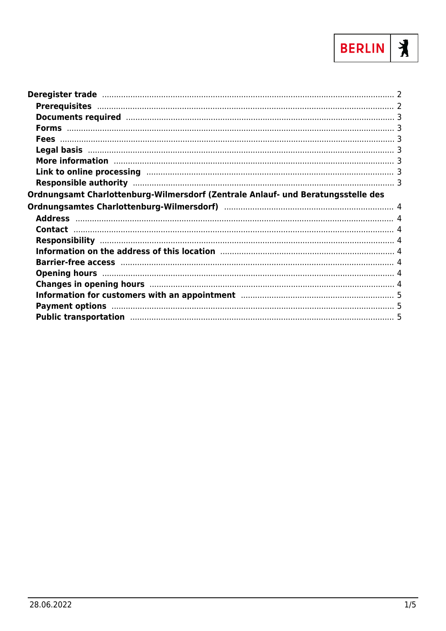

| Deregister trade manufacture and a control of the control of the control of the control of the control of the                                                                                                                  |  |
|--------------------------------------------------------------------------------------------------------------------------------------------------------------------------------------------------------------------------------|--|
|                                                                                                                                                                                                                                |  |
| Documents required manufactured and the contract of the contract of the contract of the contract of the contract of the contract of the contract of the contract of the contract of the contract of the contract of the contra |  |
|                                                                                                                                                                                                                                |  |
|                                                                                                                                                                                                                                |  |
|                                                                                                                                                                                                                                |  |
| More information manufactured and the contractor of the contractor of the contractor of the contractor of the                                                                                                                  |  |
| Link to online processing manufactured and the control of the process of the control of the control of the control of the control of the control of the control of the control of the control of the control of the control of |  |
|                                                                                                                                                                                                                                |  |
| Ordnungsamt Charlottenburg-Wilmersdorf (Zentrale Anlauf- und Beratungsstelle des                                                                                                                                               |  |
|                                                                                                                                                                                                                                |  |
|                                                                                                                                                                                                                                |  |
|                                                                                                                                                                                                                                |  |
|                                                                                                                                                                                                                                |  |
|                                                                                                                                                                                                                                |  |
|                                                                                                                                                                                                                                |  |
|                                                                                                                                                                                                                                |  |
| Opening hours manufactured and the contract of the contract of the contract of the contract of the contract of                                                                                                                 |  |
| Changes in opening hours manufactured and the contract of the contract of the contract of the contract of the contract of the contract of the contract of the contract of the contract of the contract of the contract of the  |  |
| Information for customers with an appointment manufactured and successive manufactured by 5                                                                                                                                    |  |
| Payment options manufactured and the control of the state of the state of the control of the state of the state of the state of the state of the state of the state of the state of the state of the state of the state of the |  |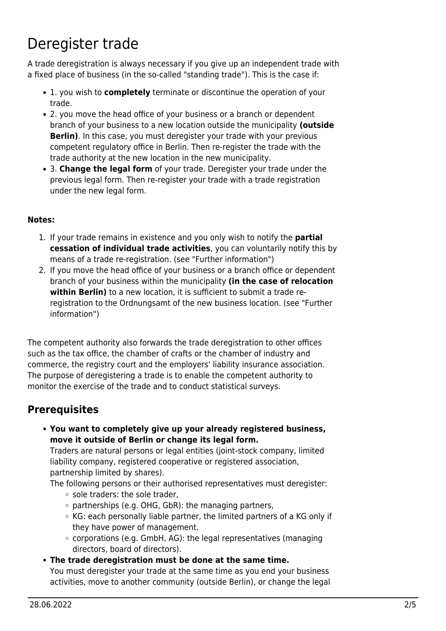# <span id="page-1-0"></span>Deregister trade

A trade deregistration is always necessary if you give up an independent trade with a fixed place of business (in the so-called "standing trade"). This is the case if:

- 1. you wish to **completely** terminate or discontinue the operation of your trade.
- 2. you move the head office of your business or a branch or dependent branch of your business to a new location outside the municipality **(outside Berlin)**. In this case, you must deregister your trade with your previous competent regulatory office in Berlin. Then re-register the trade with the trade authority at the new location in the new municipality.
- 3. **Change the legal form** of your trade. Deregister your trade under the previous legal form. Then re-register your trade with a trade registration under the new legal form.

#### **Notes:**

- 1. If your trade remains in existence and you only wish to notify the **partial cessation of individual trade activities**, you can voluntarily notify this by means of a trade re-registration. (see "Further information")
- 2. If you move the head office of your business or a branch office or dependent branch of your business within the municipality **(in the case of relocation within Berlin)** to a new location, it is sufficient to submit a trade reregistration to the Ordnungsamt of the new business location. (see "Further information")

The competent authority also forwards the trade deregistration to other offices such as the tax office, the chamber of crafts or the chamber of industry and commerce, the registry court and the employers' liability insurance association. The purpose of deregistering a trade is to enable the competent authority to monitor the exercise of the trade and to conduct statistical surveys.

### <span id="page-1-1"></span>**Prerequisites**

**You want to completely give up your already registered business, move it outside of Berlin or change its legal form.**

Traders are natural persons or legal entities (joint-stock company, limited liability company, registered cooperative or registered association, partnership limited by shares).

The following persons or their authorised representatives must deregister:  $\circ$  sole traders: the sole trader,

- $\circ$  partnerships (e.g. OHG, GbR): the managing partners,
- KG: each personally liable partner, the limited partners of a KG only if they have power of management.
- $\circ$  corporations (e.g. GmbH, AG): the legal representatives (managing directors, board of directors).
- **The trade deregistration must be done at the same time.** You must deregister your trade at the same time as you end your business activities, move to another community (outside Berlin), or change the legal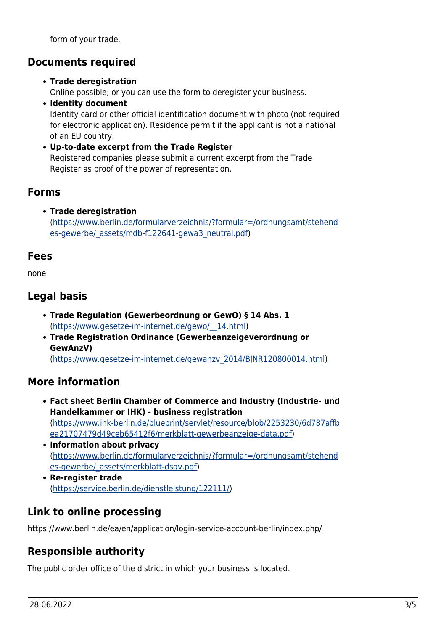form of your trade.

### <span id="page-2-0"></span>**Documents required**

#### **Trade deregistration**

Online possible; or you can use the form to deregister your business.

- **Identity document** Identity card or other official identification document with photo (not required for electronic application). Residence permit if the applicant is not a national of an EU country.
- **Up-to-date excerpt from the Trade Register** Registered companies please submit a current excerpt from the Trade Register as proof of the power of representation.

### <span id="page-2-1"></span>**Forms**

**Trade deregistration** ([https://www.berlin.de/formularverzeichnis/?formular=/ordnungsamt/stehend](https://www.berlin.de/formularverzeichnis/?formular=/ordnungsamt/stehendes-gewerbe/_assets/mdb-f122641-gewa3_neutral.pdf) es-gewerbe/ assets/mdb-f122641-gewa3 neutral.pdf)

### <span id="page-2-2"></span>**Fees**

none

# <span id="page-2-3"></span>**Legal basis**

- **Trade Regulation (Gewerbeordnung or GewO) § 14 Abs. 1** ([https://www.gesetze-im-internet.de/gewo/\\_\\_14.html](https://www.gesetze-im-internet.de/gewo/__14.html))
- **Trade Registration Ordinance (Gewerbeanzeigeverordnung or GewAnzV)** ([https://www.gesetze-im-internet.de/gewanzv\\_2014/BJNR120800014.html\)](https://www.gesetze-im-internet.de/gewanzv_2014/BJNR120800014.html)

### <span id="page-2-4"></span>**More information**

- **Fact sheet Berlin Chamber of Commerce and Industry (Industrie- und Handelkammer or IHK) - business registration** ([https://www.ihk-berlin.de/blueprint/servlet/resource/blob/2253230/6d787affb](https://www.ihk-berlin.de/blueprint/servlet/resource/blob/2253230/6d787affbea21707479d49ceb65412f6/merkblatt-gewerbeanzeige-data.pdf) [ea21707479d49ceb65412f6/merkblatt-gewerbeanzeige-data.pdf](https://www.ihk-berlin.de/blueprint/servlet/resource/blob/2253230/6d787affbea21707479d49ceb65412f6/merkblatt-gewerbeanzeige-data.pdf))
- **Information about privacy** ([https://www.berlin.de/formularverzeichnis/?formular=/ordnungsamt/stehend](https://www.berlin.de/formularverzeichnis/?formular=/ordnungsamt/stehendes-gewerbe/_assets/merkblatt-dsgv.pdf) [es-gewerbe/\\_assets/merkblatt-dsgv.pdf\)](https://www.berlin.de/formularverzeichnis/?formular=/ordnungsamt/stehendes-gewerbe/_assets/merkblatt-dsgv.pdf)
- **Re-register trade** (<https://service.berlin.de/dienstleistung/122111/>)

# <span id="page-2-5"></span>**Link to online processing**

https://www.berlin.de/ea/en/application/login-service-account-berlin/index.php/

# <span id="page-2-6"></span>**Responsible authority**

The public order office of the district in which your business is located.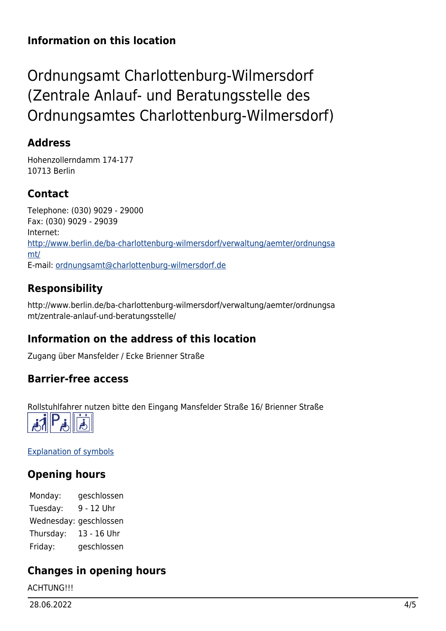### **Information on this location**

# <span id="page-3-0"></span>Ordnungsamt Charlottenburg-Wilmersdorf (Zentrale Anlauf- und Beratungsstelle des Ordnungsamtes Charlottenburg-Wilmersdorf)

### <span id="page-3-1"></span>**Address**

Hohenzollerndamm 174-177 10713 Berlin

# <span id="page-3-2"></span>**Contact**

Telephone: (030) 9029 - 29000 Fax: (030) 9029 - 29039 Internet: [http://www.berlin.de/ba-charlottenburg-wilmersdorf/verwaltung/aemter/ordnungsa](http://www.berlin.de/ba-charlottenburg-wilmersdorf/verwaltung/aemter/ordnungsamt/) [mt/](http://www.berlin.de/ba-charlottenburg-wilmersdorf/verwaltung/aemter/ordnungsamt/) E-mail: [ordnungsamt@charlottenburg-wilmersdorf.de](mailto:ordnungsamt@charlottenburg-wilmersdorf.de)

# <span id="page-3-3"></span>**Responsibility**

http://www.berlin.de/ba-charlottenburg-wilmersdorf/verwaltung/aemter/ordnungsa mt/zentrale-anlauf-und-beratungsstelle/

# <span id="page-3-4"></span>**Information on the address of this location**

Zugang über Mansfelder / Ecke Brienner Straße

### <span id="page-3-5"></span>**Barrier-free access**

Rollstuhlfahrer nutzen bitte den Eingang Mansfelder Straße 16/ Brienner Straße



[Explanation of symbols](https://service.berlin.de/hinweise/artikel.2699.php)

# <span id="page-3-6"></span>**Opening hours**

Monday: geschlossen Tuesday: 9 - 12 Uhr Wednesday: geschlossen Thursday: 13 - 16 Uhr Friday: geschlossen

# <span id="page-3-7"></span>**Changes in opening hours**

**ACHTUNG!!!**